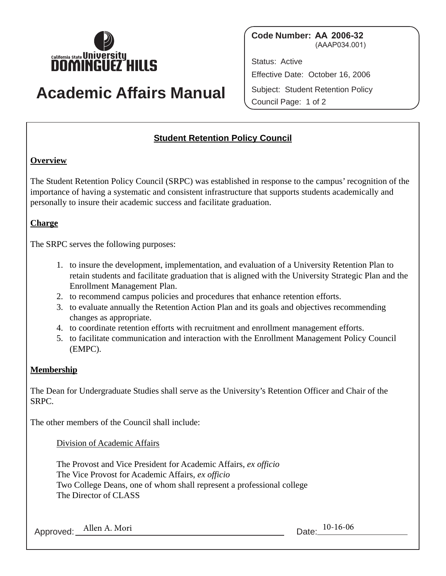

# **Academic Affairs Manual**

**Code Number: AA 2006-32**  (AAAP034.001)

Status: Active Effective Date: October 16, 2006 Subject: Student Retention Policy Council Page: 1 of 2

## **Student Retention Policy Council**

#### **Overview**

The Student Retention Policy Council (SRPC) was established in response to the campus' recognition of the importance of having a systematic and consistent infrastructure that supports students academically and personally to insure their academic success and facilitate graduation.

### **Charge**

The SRPC serves the following purposes:

- 1. to insure the development, implementation, and evaluation of a University Retention Plan to retain students and facilitate graduation that is aligned with the University Strategic Plan and the Enrollment Management Plan.
- 2. to recommend campus policies and procedures that enhance retention efforts.
- 3. to evaluate annually the Retention Action Plan and its goals and objectives recommending changes as appropriate.
- 4. to coordinate retention efforts with recruitment and enrollment management efforts.
- 5. to facilitate communication and interaction with the Enrollment Management Policy Council (EMPC).

#### **Membership**

The Dean for Undergraduate Studies shall serve as the University's Retention Officer and Chair of the SRPC.

The other members of the Council shall include:

Division of Academic Affairs

The Provost and Vice President for Academic Affairs, *ex officio*  The Vice Provost for Academic Affairs, *ex officio*  Two College Deans, one of whom shall represent a professional college The Director of CLASS

Approved: Allen A. Mori 10-16-06